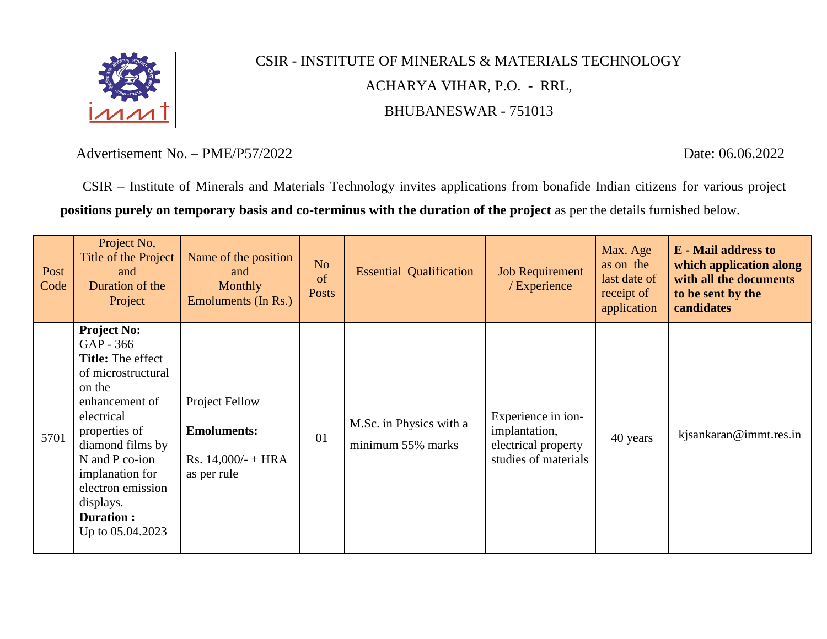

# CSIR - INSTITUTE OF MINERALS & MATERIALS TECHNOLOGY ACHARYA VIHAR, P.O. - RRL, BHUBANESWAR - 751013

Advertisement No. – PME/P57/2022 Date: 06.06.2022

CSIR – Institute of Minerals and Materials Technology invites applications from bonafide Indian citizens for various project **positions purely on temporary basis and co-terminus with the duration of the project** as per the details furnished below.

| Post<br>Code | Project No,<br>Title of the Project<br>and<br>Duration of the<br>Project                                                                                                                                                                                                        | Name of the position<br>and<br><b>Monthly</b><br>Emoluments (In Rs.)               | N <sub>o</sub><br>of<br><b>Posts</b> | <b>Essential Qualification</b>               | <b>Job Requirement</b><br>/ Experience                                             | Max. Age<br>as on the<br>last date of<br>receipt of<br>application | <b>E</b> - Mail address to<br>which application along<br>with all the documents<br>to be sent by the<br>candidates |
|--------------|---------------------------------------------------------------------------------------------------------------------------------------------------------------------------------------------------------------------------------------------------------------------------------|------------------------------------------------------------------------------------|--------------------------------------|----------------------------------------------|------------------------------------------------------------------------------------|--------------------------------------------------------------------|--------------------------------------------------------------------------------------------------------------------|
| 5701         | <b>Project No:</b><br>GAP - 366<br><b>Title:</b> The effect<br>of microstructural<br>on the<br>enhancement of<br>electrical<br>properties of<br>diamond films by<br>N and P co-ion<br>implanation for<br>electron emission<br>displays.<br><b>Duration:</b><br>Up to 05.04.2023 | <b>Project Fellow</b><br><b>Emoluments:</b><br>Rs. $14,000/- + HRA$<br>as per rule | 01                                   | M.Sc. in Physics with a<br>minimum 55% marks | Experience in ion-<br>implantation,<br>electrical property<br>studies of materials | 40 years                                                           | kjsankaran@immt.res.in                                                                                             |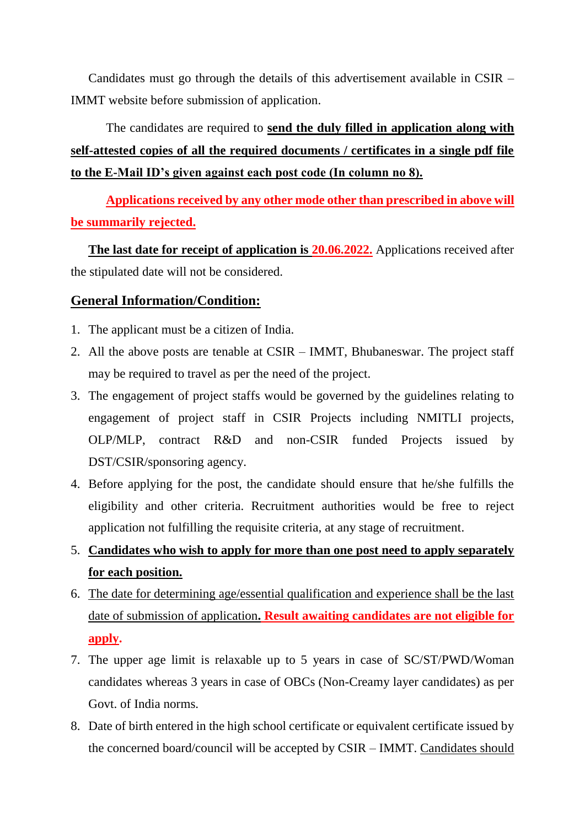Candidates must go through the details of this advertisement available in CSIR – IMMT website before submission of application.

## The candidates are required to **send the duly filled in application along with self-attested copies of all the required documents / certificates in a single pdf file to the E-Mail ID's given against each post code (In column no 8).**

**Applications received by any other mode other than prescribed in above will be summarily rejected.**

**The last date for receipt of application is 20.06.2022.** Applications received after the stipulated date will not be considered.

#### **General Information/Condition:**

- 1. The applicant must be a citizen of India.
- 2. All the above posts are tenable at CSIR IMMT, Bhubaneswar. The project staff may be required to travel as per the need of the project.
- 3. The engagement of project staffs would be governed by the guidelines relating to engagement of project staff in CSIR Projects including NMITLI projects, OLP/MLP, contract R&D and non-CSIR funded Projects issued by DST/CSIR/sponsoring agency.
- 4. Before applying for the post, the candidate should ensure that he/she fulfills the eligibility and other criteria. Recruitment authorities would be free to reject application not fulfilling the requisite criteria, at any stage of recruitment.
- 5. **Candidates who wish to apply for more than one post need to apply separately for each position.**
- 6. The date for determining age/essential qualification and experience shall be the last date of submission of application**. Result awaiting candidates are not eligible for apply.**
- 7. The upper age limit is relaxable up to 5 years in case of SC/ST/PWD/Woman candidates whereas 3 years in case of OBCs (Non-Creamy layer candidates) as per Govt. of India norms.
- 8. Date of birth entered in the high school certificate or equivalent certificate issued by the concerned board/council will be accepted by CSIR – IMMT. Candidates should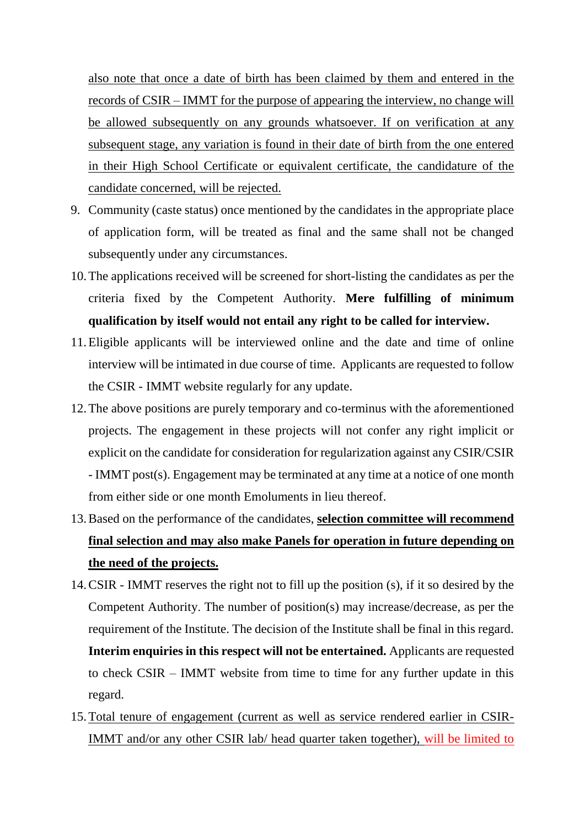also note that once a date of birth has been claimed by them and entered in the records of CSIR – IMMT for the purpose of appearing the interview, no change will be allowed subsequently on any grounds whatsoever. If on verification at any subsequent stage, any variation is found in their date of birth from the one entered in their High School Certificate or equivalent certificate, the candidature of the candidate concerned, will be rejected.

- 9. Community (caste status) once mentioned by the candidates in the appropriate place of application form, will be treated as final and the same shall not be changed subsequently under any circumstances.
- 10.The applications received will be screened for short-listing the candidates as per the criteria fixed by the Competent Authority. **Mere fulfilling of minimum qualification by itself would not entail any right to be called for interview.**
- 11.Eligible applicants will be interviewed online and the date and time of online interview will be intimated in due course of time. Applicants are requested to follow the CSIR - IMMT website regularly for any update.
- 12.The above positions are purely temporary and co-terminus with the aforementioned projects. The engagement in these projects will not confer any right implicit or explicit on the candidate for consideration for regularization against any CSIR/CSIR - IMMT post(s). Engagement may be terminated at any time at a notice of one month from either side or one month Emoluments in lieu thereof.
- 13.Based on the performance of the candidates, **selection committee will recommend final selection and may also make Panels for operation in future depending on the need of the projects.**
- 14.CSIR IMMT reserves the right not to fill up the position (s), if it so desired by the Competent Authority. The number of position(s) may increase/decrease, as per the requirement of the Institute. The decision of the Institute shall be final in this regard. **Interim enquiries in this respect will not be entertained.** Applicants are requested to check CSIR – IMMT website from time to time for any further update in this regard.
- 15.Total tenure of engagement (current as well as service rendered earlier in CSIR-IMMT and/or any other CSIR lab/ head quarter taken together), will be limited to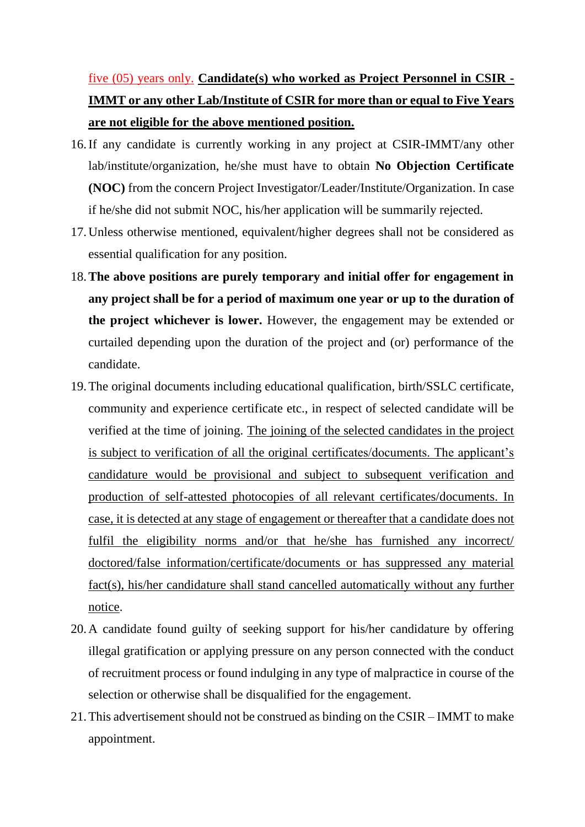## five (05) years only. **Candidate(s) who worked as Project Personnel in CSIR - IMMT or any other Lab/Institute of CSIR for more than or equal to Five Years are not eligible for the above mentioned position.**

- 16.If any candidate is currently working in any project at CSIR-IMMT/any other lab/institute/organization, he/she must have to obtain **No Objection Certificate (NOC)** from the concern Project Investigator/Leader/Institute/Organization. In case if he/she did not submit NOC, his/her application will be summarily rejected.
- 17.Unless otherwise mentioned, equivalent/higher degrees shall not be considered as essential qualification for any position.
- 18.**The above positions are purely temporary and initial offer for engagement in any project shall be for a period of maximum one year or up to the duration of the project whichever is lower.** However, the engagement may be extended or curtailed depending upon the duration of the project and (or) performance of the candidate.
- 19.The original documents including educational qualification, birth/SSLC certificate, community and experience certificate etc., in respect of selected candidate will be verified at the time of joining. The joining of the selected candidates in the project is subject to verification of all the original certificates/documents. The applicant's candidature would be provisional and subject to subsequent verification and production of self-attested photocopies of all relevant certificates/documents. In case, it is detected at any stage of engagement or thereafter that a candidate does not fulfil the eligibility norms and/or that he/she has furnished any incorrect/ doctored/false information/certificate/documents or has suppressed any material fact(s), his/her candidature shall stand cancelled automatically without any further notice.
- 20.A candidate found guilty of seeking support for his/her candidature by offering illegal gratification or applying pressure on any person connected with the conduct of recruitment process or found indulging in any type of malpractice in course of the selection or otherwise shall be disqualified for the engagement.
- 21.This advertisement should not be construed as binding on the CSIR IMMT to make appointment.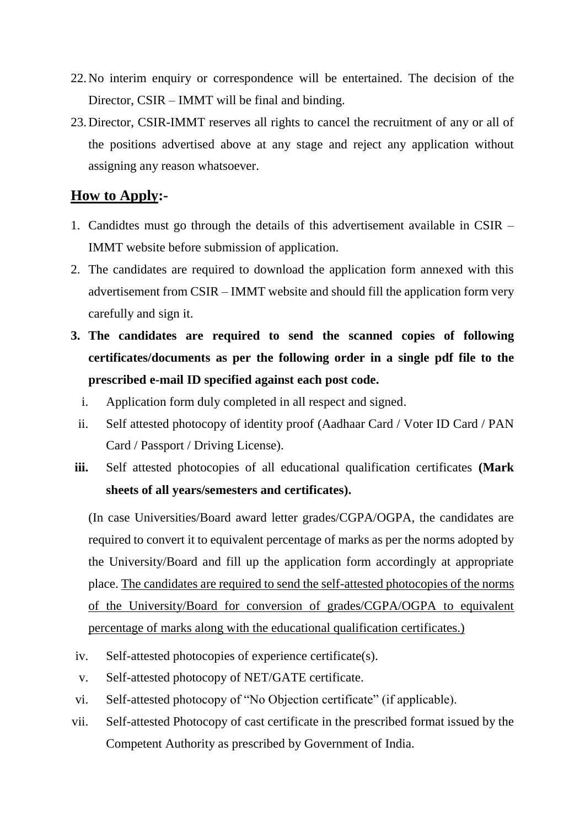- 22.No interim enquiry or correspondence will be entertained. The decision of the Director, CSIR – IMMT will be final and binding.
- 23.Director, CSIR-IMMT reserves all rights to cancel the recruitment of any or all of the positions advertised above at any stage and reject any application without assigning any reason whatsoever.

### **How to Apply:-**

- 1. Candidtes must go through the details of this advertisement available in CSIR IMMT website before submission of application.
- 2. The candidates are required to download the application form annexed with this advertisement from CSIR – IMMT website and should fill the application form very carefully and sign it.
- **3. The candidates are required to send the scanned copies of following certificates/documents as per the following order in a single pdf file to the prescribed e-mail ID specified against each post code.**
	- i. Application form duly completed in all respect and signed.
	- ii. Self attested photocopy of identity proof (Aadhaar Card / Voter ID Card / PAN Card / Passport / Driving License).
- **iii.** Self attested photocopies of all educational qualification certificates **(Mark sheets of all years/semesters and certificates).**

(In case Universities/Board award letter grades/CGPA/OGPA, the candidates are required to convert it to equivalent percentage of marks as per the norms adopted by the University/Board and fill up the application form accordingly at appropriate place. The candidates are required to send the self-attested photocopies of the norms of the University/Board for conversion of grades/CGPA/OGPA to equivalent percentage of marks along with the educational qualification certificates.)

- iv. Self-attested photocopies of experience certificate(s).
- v. Self-attested photocopy of NET/GATE certificate.
- vi. Self-attested photocopy of "No Objection certificate" (if applicable).
- vii. Self-attested Photocopy of cast certificate in the prescribed format issued by the Competent Authority as prescribed by Government of India.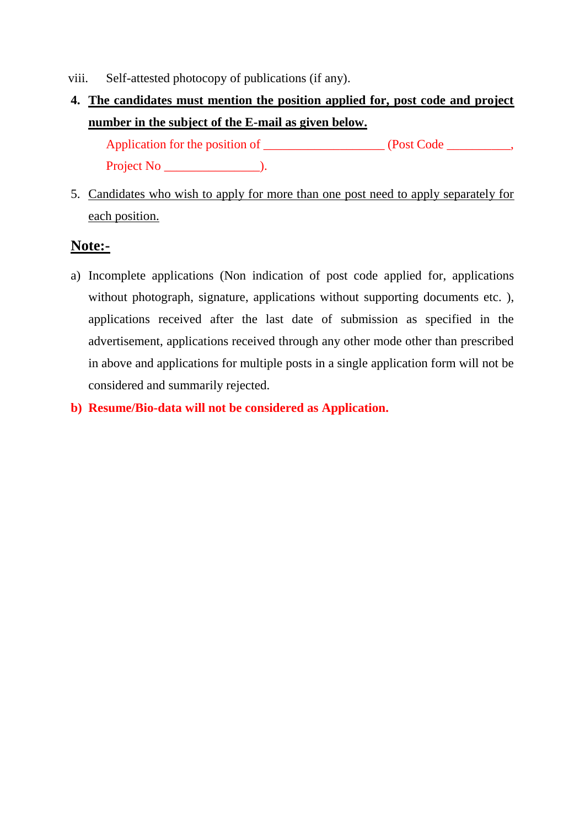- viii. Self-attested photocopy of publications (if any).
- **4. The candidates must mention the position applied for, post code and project number in the subject of the E-mail as given below.**

Application for the position of \_\_\_\_\_\_\_\_\_\_\_\_\_\_\_\_\_\_\_\_\_\_ (Post Code \_\_\_\_\_\_\_\_\_, Project No  $\qquad \qquad$  ).

5. Candidates who wish to apply for more than one post need to apply separately for each position.

#### **Note:-**

- a) Incomplete applications (Non indication of post code applied for, applications without photograph, signature, applications without supporting documents etc. ), applications received after the last date of submission as specified in the advertisement, applications received through any other mode other than prescribed in above and applications for multiple posts in a single application form will not be considered and summarily rejected.
- **b) Resume/Bio-data will not be considered as Application.**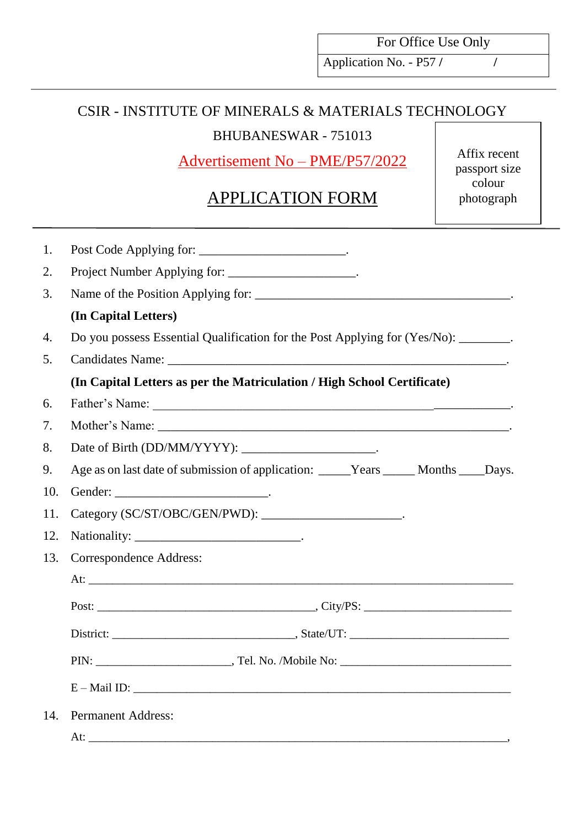For Office Use Only

Application No. - P57 **/ /** 

### CSIR - INSTITUTE OF MINERALS & MATERIALS TECHNOLOGY

BHUBANESWAR - 751013

Advertisement No – PME/P57/2022

# APPLICATION FORM

Affix recent passport size colour photograph

| Do you possess Essential Qualification for the Post Applying for (Yes/No): _______. |
|-------------------------------------------------------------------------------------|
|                                                                                     |
|                                                                                     |
|                                                                                     |
|                                                                                     |
|                                                                                     |
|                                                                                     |
|                                                                                     |
|                                                                                     |
|                                                                                     |
| Age as on last date of submission of application: _____Years _____Months ____Days.  |
|                                                                                     |
|                                                                                     |
|                                                                                     |
|                                                                                     |
|                                                                                     |
|                                                                                     |
|                                                                                     |
|                                                                                     |
| $E-Mail ID:$                                                                        |
|                                                                                     |
|                                                                                     |
|                                                                                     |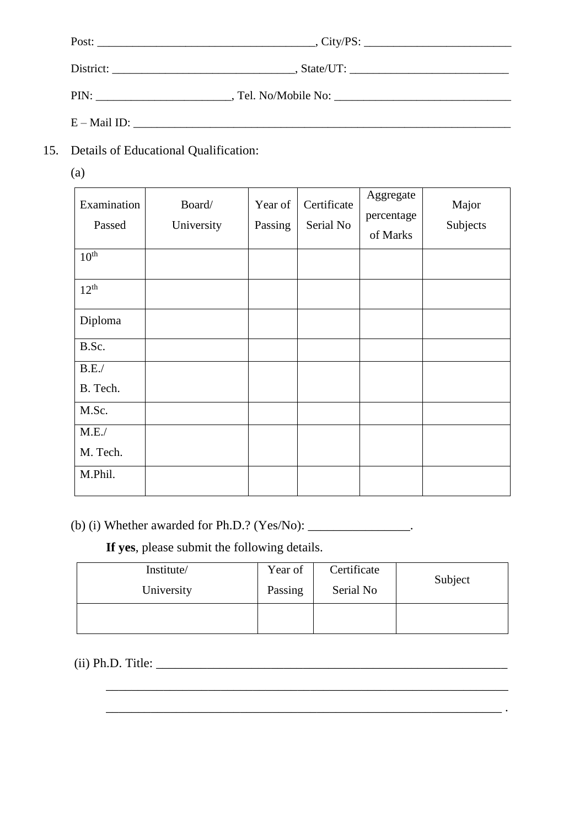| Post:          |  |
|----------------|--|
|                |  |
| PIN:           |  |
| $E - Mail$ ID: |  |

- 15. Details of Educational Qualification:
	- (a)

| Examination<br>Passed | Board/<br>University | Year of<br>Passing | Certificate<br>Serial No | Aggregate<br>percentage<br>of Marks | Major<br>Subjects |
|-----------------------|----------------------|--------------------|--------------------------|-------------------------------------|-------------------|
| $10^{\text{th}}$      |                      |                    |                          |                                     |                   |
| $12^{th}$             |                      |                    |                          |                                     |                   |
| Diploma               |                      |                    |                          |                                     |                   |
| B.Sc.                 |                      |                    |                          |                                     |                   |
| B.E.                  |                      |                    |                          |                                     |                   |
| B. Tech.              |                      |                    |                          |                                     |                   |
| M.Sc.                 |                      |                    |                          |                                     |                   |
| M.E./                 |                      |                    |                          |                                     |                   |
| M. Tech.              |                      |                    |                          |                                     |                   |
| M.Phil.               |                      |                    |                          |                                     |                   |

(b) (i) Whether awarded for Ph.D.? (Yes/No):  $\_\_\_\_\_\_\_\_\_\_\_\_\_\_\_\_\_\_\_\_\_\_$ .

**If yes**, please submit the following details.

| Institute/ | Year of | Certificate |         |
|------------|---------|-------------|---------|
| University | Passing | Serial No   | Subject |
|            |         |             |         |

\_\_\_\_\_\_\_\_\_\_\_\_\_\_\_\_\_\_\_\_\_\_\_\_\_\_\_\_\_\_\_\_\_\_\_\_\_\_\_\_\_\_\_\_\_\_\_\_\_\_\_\_\_\_\_\_\_\_\_\_\_\_\_

\_\_\_\_\_\_\_\_\_\_\_\_\_\_\_\_\_\_\_\_\_\_\_\_\_\_\_\_\_\_\_\_\_\_\_\_\_\_\_\_\_\_\_\_\_\_\_\_\_\_\_\_\_\_\_\_\_\_\_\_\_\_ .

(ii) Ph.D. Title: \_\_\_\_\_\_\_\_\_\_\_\_\_\_\_\_\_\_\_\_\_\_\_\_\_\_\_\_\_\_\_\_\_\_\_\_\_\_\_\_\_\_\_\_\_\_\_\_\_\_\_\_\_\_\_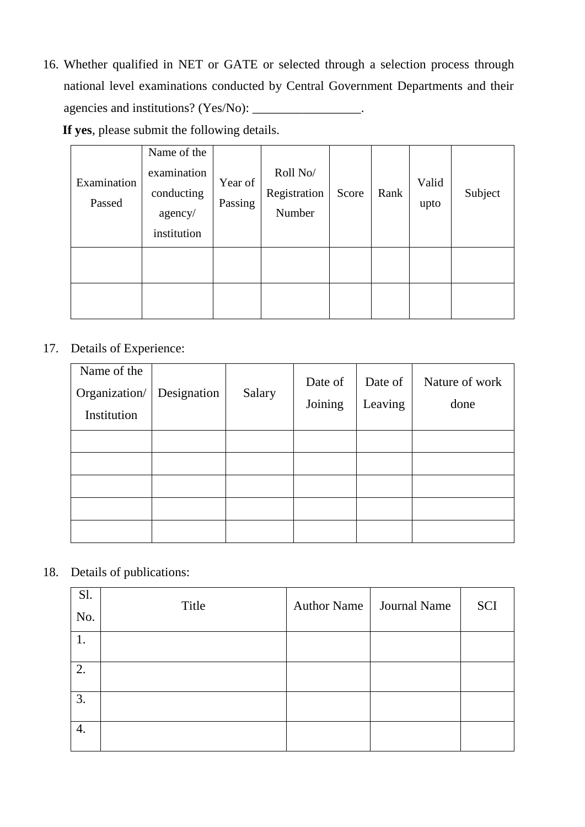16. Whether qualified in NET or GATE or selected through a selection process through national level examinations conducted by Central Government Departments and their agencies and institutions? (Yes/No): \_\_\_\_\_\_\_\_\_\_\_\_\_\_\_\_\_.

 **If yes**, please submit the following details.

| Examination<br>Passed | Name of the<br>examination<br>conducting<br>agency/<br>institution | Year of<br>Passing | Roll No/<br>Registration<br>Number | Score | Rank | Valid<br>upto | Subject |
|-----------------------|--------------------------------------------------------------------|--------------------|------------------------------------|-------|------|---------------|---------|
|                       |                                                                    |                    |                                    |       |      |               |         |
|                       |                                                                    |                    |                                    |       |      |               |         |

#### 17. Details of Experience:

| Name of the<br>Organization/<br>Institution | Designation | Salary | Date of<br>Joining | Date of<br>Leaving | Nature of work<br>done |
|---------------------------------------------|-------------|--------|--------------------|--------------------|------------------------|
|                                             |             |        |                    |                    |                        |
|                                             |             |        |                    |                    |                        |
|                                             |             |        |                    |                    |                        |
|                                             |             |        |                    |                    |                        |
|                                             |             |        |                    |                    |                        |

18. Details of publications:

| Sl.<br>No. | Title | Author Name   Journal Name | SCI |
|------------|-------|----------------------------|-----|
| 1.         |       |                            |     |
| 2.         |       |                            |     |
| 3.         |       |                            |     |
| 4.         |       |                            |     |